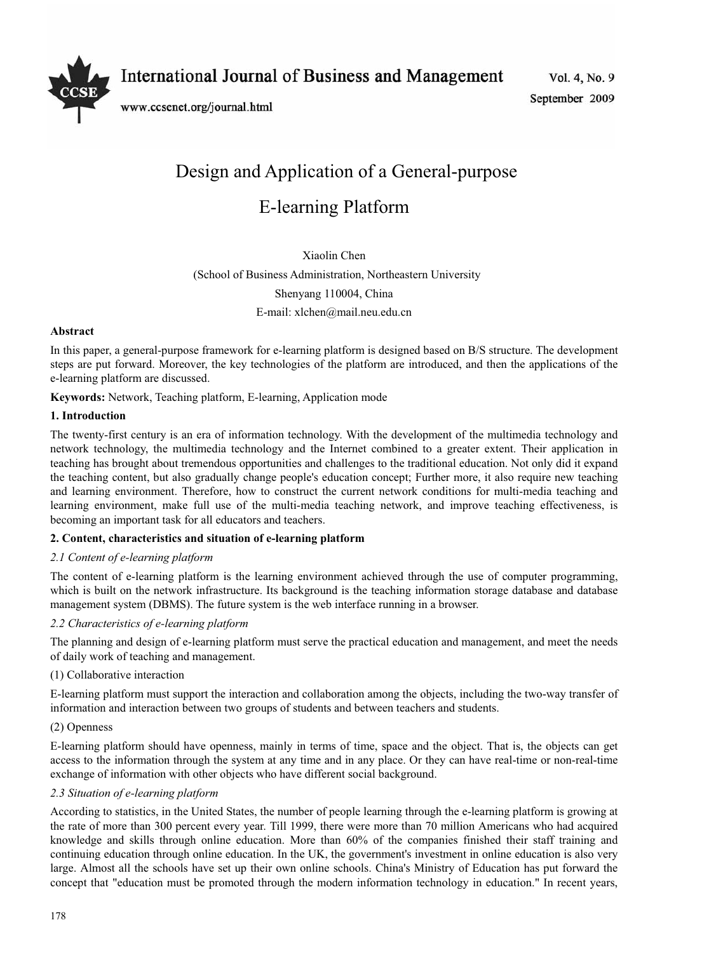**International Journal of Business and Management** 



www.ccsenet.org/journal.html

Vol. 4, No. 9 September 2009

# Design and Application of a General-purpose E-learning Platform

Xiaolin Chen

(School of Business Administration, Northeastern University

Shenyang 110004, China

E-mail: xlchen@mail.neu.edu.cn

# **Abstract**

In this paper, a general-purpose framework for e-learning platform is designed based on B/S structure. The development steps are put forward. Moreover, the key technologies of the platform are introduced, and then the applications of the e-learning platform are discussed.

**Keywords:** Network, Teaching platform, E-learning, Application mode

## **1. Introduction**

The twenty-first century is an era of information technology. With the development of the multimedia technology and network technology, the multimedia technology and the Internet combined to a greater extent. Their application in teaching has brought about tremendous opportunities and challenges to the traditional education. Not only did it expand the teaching content, but also gradually change people's education concept; Further more, it also require new teaching and learning environment. Therefore, how to construct the current network conditions for multi-media teaching and learning environment, make full use of the multi-media teaching network, and improve teaching effectiveness, is becoming an important task for all educators and teachers.

# **2. Content, characteristics and situation of e-learning platform**

# *2.1 Content of e-learning platform*

The content of e-learning platform is the learning environment achieved through the use of computer programming, which is built on the network infrastructure. Its background is the teaching information storage database and database management system (DBMS). The future system is the web interface running in a browser.

# *2.2 Characteristics of e-learning platform*

The planning and design of e-learning platform must serve the practical education and management, and meet the needs of daily work of teaching and management.

#### (1) Collaborative interaction

E-learning platform must support the interaction and collaboration among the objects, including the two-way transfer of information and interaction between two groups of students and between teachers and students.

#### (2) Openness

E-learning platform should have openness, mainly in terms of time, space and the object. That is, the objects can get access to the information through the system at any time and in any place. Or they can have real-time or non-real-time exchange of information with other objects who have different social background.

# *2.3 Situation of e-learning platform*

According to statistics, in the United States, the number of people learning through the e-learning platform is growing at the rate of more than 300 percent every year. Till 1999, there were more than 70 million Americans who had acquired knowledge and skills through online education. More than 60% of the companies finished their staff training and continuing education through online education. In the UK, the government's investment in online education is also very large. Almost all the schools have set up their own online schools. China's Ministry of Education has put forward the concept that "education must be promoted through the modern information technology in education." In recent years,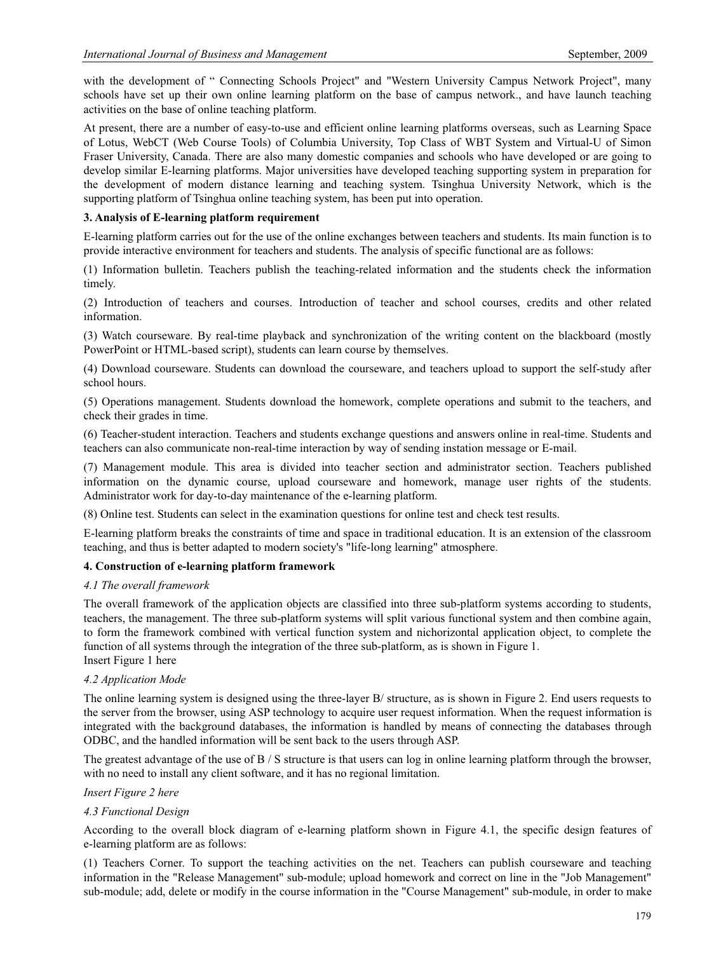with the development of " Connecting Schools Project" and "Western University Campus Network Project", many schools have set up their own online learning platform on the base of campus network., and have launch teaching activities on the base of online teaching platform.

At present, there are a number of easy-to-use and efficient online learning platforms overseas, such as Learning Space of Lotus, WebCT (Web Course Tools) of Columbia University, Top Class of WBT System and Virtual-U of Simon Fraser University, Canada. There are also many domestic companies and schools who have developed or are going to develop similar E-learning platforms. Major universities have developed teaching supporting system in preparation for the development of modern distance learning and teaching system. Tsinghua University Network, which is the supporting platform of Tsinghua online teaching system, has been put into operation.

# **3. Analysis of E-learning platform requirement**

E-learning platform carries out for the use of the online exchanges between teachers and students. Its main function is to provide interactive environment for teachers and students. The analysis of specific functional are as follows:

(1) Information bulletin. Teachers publish the teaching-related information and the students check the information timely.

(2) Introduction of teachers and courses. Introduction of teacher and school courses, credits and other related information.

(3) Watch courseware. By real-time playback and synchronization of the writing content on the blackboard (mostly PowerPoint or HTML-based script), students can learn course by themselves.

(4) Download courseware. Students can download the courseware, and teachers upload to support the self-study after school hours.

(5) Operations management. Students download the homework, complete operations and submit to the teachers, and check their grades in time.

(6) Teacher-student interaction. Teachers and students exchange questions and answers online in real-time. Students and teachers can also communicate non-real-time interaction by way of sending instation message or E-mail.

(7) Management module. This area is divided into teacher section and administrator section. Teachers published information on the dynamic course, upload courseware and homework, manage user rights of the students. Administrator work for day-to-day maintenance of the e-learning platform.

(8) Online test. Students can select in the examination questions for online test and check test results.

E-learning platform breaks the constraints of time and space in traditional education. It is an extension of the classroom teaching, and thus is better adapted to modern society's "life-long learning" atmosphere.

#### **4. Construction of e-learning platform framework**

### *4.1 The overall framework*

The overall framework of the application objects are classified into three sub-platform systems according to students, teachers, the management. The three sub-platform systems will split various functional system and then combine again, to form the framework combined with vertical function system and nichorizontal application object, to complete the function of all systems through the integration of the three sub-platform, as is shown in Figure 1. Insert Figure 1 here

#### *4.2 Application Mode*

The online learning system is designed using the three-layer B/ structure, as is shown in Figure 2. End users requests to the server from the browser, using ASP technology to acquire user request information. When the request information is integrated with the background databases, the information is handled by means of connecting the databases through ODBC, and the handled information will be sent back to the users through ASP.

The greatest advantage of the use of B / S structure is that users can log in online learning platform through the browser, with no need to install any client software, and it has no regional limitation.

#### *Insert Figure 2 here*

#### *4.3 Functional Design*

According to the overall block diagram of e-learning platform shown in Figure 4.1, the specific design features of e-learning platform are as follows:

(1) Teachers Corner. To support the teaching activities on the net. Teachers can publish courseware and teaching information in the "Release Management" sub-module; upload homework and correct on line in the "Job Management" sub-module; add, delete or modify in the course information in the "Course Management" sub-module, in order to make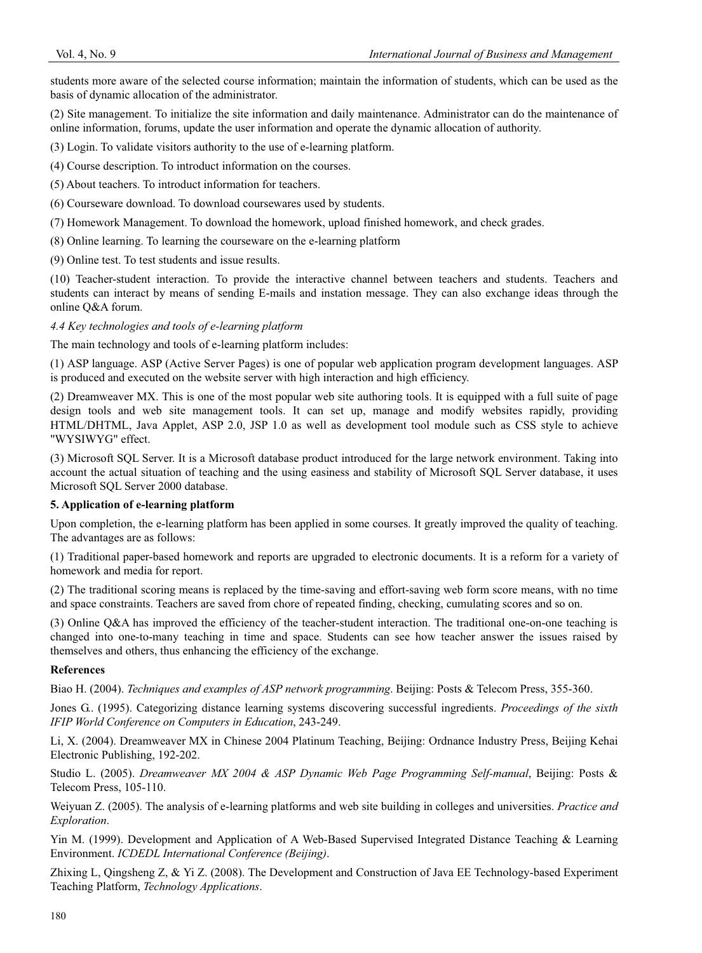students more aware of the selected course information; maintain the information of students, which can be used as the basis of dynamic allocation of the administrator.

(2) Site management. To initialize the site information and daily maintenance. Administrator can do the maintenance of online information, forums, update the user information and operate the dynamic allocation of authority.

(3) Login. To validate visitors authority to the use of e-learning platform.

(4) Course description. To introduct information on the courses.

(5) About teachers. To introduct information for teachers.

- (6) Courseware download. To download coursewares used by students.
- (7) Homework Management. To download the homework, upload finished homework, and check grades.
- (8) Online learning. To learning the courseware on the e-learning platform

(9) Online test. To test students and issue results.

(10) Teacher-student interaction. To provide the interactive channel between teachers and students. Teachers and students can interact by means of sending E-mails and instation message. They can also exchange ideas through the online Q&A forum.

## *4.4 Key technologies and tools of e-learning platform*

The main technology and tools of e-learning platform includes:

(1) ASP language. ASP (Active Server Pages) is one of popular web application program development languages. ASP is produced and executed on the website server with high interaction and high efficiency.

(2) Dreamweaver MX. This is one of the most popular web site authoring tools. It is equipped with a full suite of page design tools and web site management tools. It can set up, manage and modify websites rapidly, providing HTML/DHTML, Java Applet, ASP 2.0, JSP 1.0 as well as development tool module such as CSS style to achieve "WYSIWYG" effect.

(3) Microsoft SQL Server. It is a Microsoft database product introduced for the large network environment. Taking into account the actual situation of teaching and the using easiness and stability of Microsoft SQL Server database, it uses Microsoft SQL Server 2000 database.

## **5. Application of e-learning platform**

Upon completion, the e-learning platform has been applied in some courses. It greatly improved the quality of teaching. The advantages are as follows:

(1) Traditional paper-based homework and reports are upgraded to electronic documents. It is a reform for a variety of homework and media for report.

(2) The traditional scoring means is replaced by the time-saving and effort-saving web form score means, with no time and space constraints. Teachers are saved from chore of repeated finding, checking, cumulating scores and so on.

(3) Online Q&A has improved the efficiency of the teacher-student interaction. The traditional one-on-one teaching is changed into one-to-many teaching in time and space. Students can see how teacher answer the issues raised by themselves and others, thus enhancing the efficiency of the exchange.

#### **References**

Biao H. (2004). *Techniques and examples of ASP network programming*. Beijing: Posts & Telecom Press, 355-360.

Jones G.. (1995). Categorizing distance learning systems discovering successful ingredients. *Proceedings of the sixth IFIP World Conference on Computers in Education*, 243-249.

Li, X. (2004). Dreamweaver MX in Chinese 2004 Platinum Teaching, Beijing: Ordnance Industry Press, Beijing Kehai Electronic Publishing, 192-202.

Studio L. (2005). *Dreamweaver MX 2004 & ASP Dynamic Web Page Programming Self-manual*, Beijing: Posts & Telecom Press, 105-110.

Weiyuan Z. (2005). The analysis of e-learning platforms and web site building in colleges and universities. *Practice and Exploration*.

Yin M. (1999). Development and Application of A Web-Based Supervised Integrated Distance Teaching & Learning Environment. *ICDEDL International Conference (Beijing)*.

Zhixing L, Qingsheng Z, & Yi Z. (2008). The Development and Construction of Java EE Technology-based Experiment Teaching Platform, *Technology Applications*.